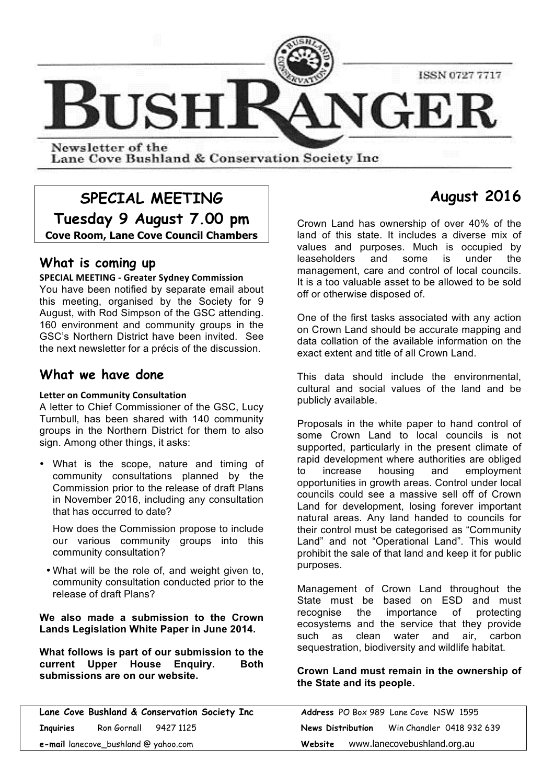

Lane Cove Bushland & Conservation Society Inc.

# **SPECIAL MEETING Tuesday 9 August 7.00 pm Cove Room, Lane Cove Council Chambers**

# **What is coming up**

#### **SPECIAL MEETING - Greater Sydney Commission**

You have been notified by separate email about this meeting, organised by the Society for 9 August, with Rod Simpson of the GSC attending. 160 environment and community groups in the GSC's Northern District have been invited. See the next newsletter for a précis of the discussion.

# **What we have done**

#### **Letter on Community Consultation**

A letter to Chief Commissioner of the GSC, Lucy Turnbull, has been shared with 140 community groups in the Northern District for them to also sign. Among other things, it asks:

• What is the scope, nature and timing of community consultations planned by the Commission prior to the release of draft Plans in November 2016, including any consultation that has occurred to date?

How does the Commission propose to include our various community groups into this community consultation?

• What will be the role of, and weight given to, community consultation conducted prior to the release of draft Plans?

**We also made a submission to the Crown Lands Legislation White Paper in June 2014.**

**What follows is part of our submission to the current Upper House Enquiry. Both submissions are on our website.**

**Lane Cove Bushland & Conservation Society Inc Address** PO Box 989 Lane Cove NSW 1595 **Inquiries** Ron Gornall 9427 1125 **News Distribution** Win Chandler 0418 932 639 **e-mail** lanecove\_bushland @ yahoo.com **Website** www.lanecovebushland.org.au

# **August 2016**

Crown Land has ownership of over 40% of the land of this state. It includes a diverse mix of values and purposes. Much is occupied by leaseholders and some is under the management, care and control of local councils. It is a too valuable asset to be allowed to be sold off or otherwise disposed of.

One of the first tasks associated with any action on Crown Land should be accurate mapping and data collation of the available information on the exact extent and title of all Crown Land.

This data should include the environmental, cultural and social values of the land and be publicly available.

Proposals in the white paper to hand control of some Crown Land to local councils is not supported, particularly in the present climate of rapid development where authorities are obliged to increase housing and employment opportunities in growth areas. Control under local councils could see a massive sell off of Crown Land for development, losing forever important natural areas. Any land handed to councils for their control must be categorised as "Community Land" and not "Operational Land". This would prohibit the sale of that land and keep it for public purposes.

Management of Crown Land throughout the State must be based on ESD and must recognise the importance of protecting ecosystems and the service that they provide such as clean water and air, carbon sequestration, biodiversity and wildlife habitat.

## **Crown Land must remain in the ownership of the State and its people.**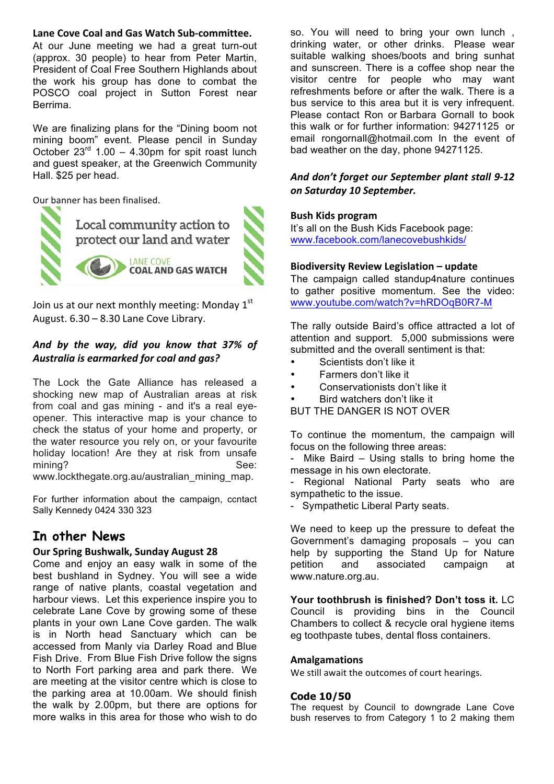#### Lane Cove Coal and Gas Watch Sub-committee.

At our June meeting we had a great turn-out (approx. 30 people) to hear from Peter Martin, President of Coal Free Southern Highlands about the work his group has done to combat the POSCO coal project in Sutton Forest near Berrima.

We are finalizing plans for the "Dining boom not mining boom" event. Please pencil in Sunday October  $23^{rd}$  1.00 – 4.30pm for spit roast lunch and guest speaker, at the Greenwich Community Hall. \$25 per head.

Our banner has been finalised.



Join us at our next monthly meeting: Monday  $1<sup>st</sup>$ August.  $6.30 - 8.30$  Lane Cove Library.

# *And by the way, did you know that 37% of* Australia is earmarked for coal and gas?

The Lock the Gate Alliance has released a shocking new map of Australian areas at risk from coal and gas mining - and it's a real eyeopener. This interactive map is your chance to check the status of your home and property, or the water resource you rely on, or your favourite holiday location! Are they at risk from unsafe mining? See:

www.lockthegate.org.au/australian\_mining\_map.

For further information about the campaign, ccntact Sally Kennedy 0424 330 323

# **In other News**

#### **Our Spring Bushwalk, Sunday August 28**

Come and enjoy an easy walk in some of the best bushland in Sydney. You will see a wide range of native plants, coastal vegetation and harbour views. Let this experience inspire you to celebrate Lane Cove by growing some of these plants in your own Lane Cove garden. The walk is in North head Sanctuary which can be accessed from Manly via Darley Road and Blue Fish Drive. From Blue Fish Drive follow the signs to North Fort parking area and park there. We are meeting at the visitor centre which is close to the parking area at 10.00am. We should finish the walk by 2.00pm, but there are options for more walks in this area for those who wish to do so. You will need to bring your own lunch , drinking water, or other drinks. Please wear suitable walking shoes/boots and bring sunhat and sunscreen. There is a coffee shop near the visitor centre for people who may want refreshments before or after the walk. There is a bus service to this area but it is very infrequent. Please contact Ron or Barbara Gornall to book this walk or for further information: 94271125 or email rongornall@hotmail.com In the event of bad weather on the day, phone 94271125.

## And don't forget our September plant stall 9-12 *on Saturday 10 September.*

#### **Bush Kids program**

It's all on the Bush Kids Facebook page: www.facebook.com/lanecovebushkids/

#### **Biodiversity Review Legislation – update**

The campaign called standup4nature continues to gather positive momentum. See the video: www.youtube.com/watch?v=hRDOqB0R7-M

The rally outside Baird's office attracted a lot of attention and support. 5,000 submissions were submitted and the overall sentiment is that:

- Scientists don't like it
- Farmers don't like it
- Conservationists don't like it
- Bird watchers don't like it
- BUT THE DANGER IS NOT OVER

To continue the momentum, the campaign will focus on the following three areas:

Mike Baird  $-$  Using stalls to bring home the message in his own electorate.

- Regional National Party seats who are sympathetic to the issue.

- Sympathetic Liberal Party seats.

We need to keep up the pressure to defeat the Government's damaging proposals – you can help by supporting the Stand Up for Nature petition and associated campaign at www.nature.org.au.

**Your toothbrush is finished? Don't toss it.** LC Council is providing bins in the Council Chambers to collect & recycle oral hygiene items eg toothpaste tubes, dental floss containers.

#### **Amalgamations**

We still await the outcomes of court hearings.

#### **Code 10/50**

The request by Council to downgrade Lane Cove bush reserves to from Category 1 to 2 making them